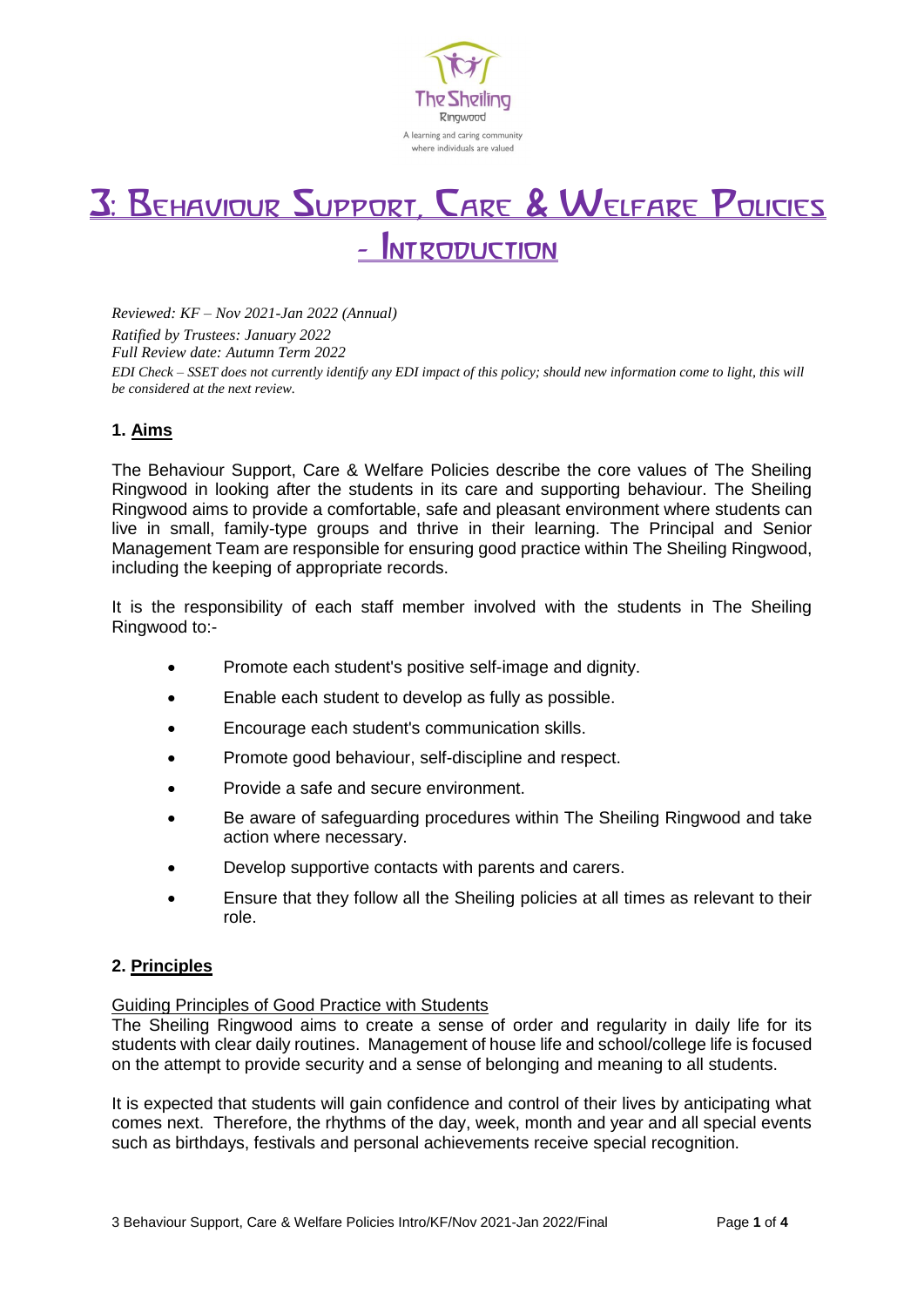

# 3: Behaviour Support, Care & Welfare Policies **INTRODUCTION**

*Reviewed: KF – Nov 2021-Jan 2022 (Annual) Ratified by Trustees: January 2022 Full Review date: Autumn Term 2022 EDI Check – SSET does not currently identify any EDI impact of this policy; should new information come to light, this will be considered at the next review.* 

# **1. Aims**

The Behaviour Support, Care & Welfare Policies describe the core values of The Sheiling Ringwood in looking after the students in its care and supporting behaviour. The Sheiling Ringwood aims to provide a comfortable, safe and pleasant environment where students can live in small, family-type groups and thrive in their learning. The Principal and Senior Management Team are responsible for ensuring good practice within The Sheiling Ringwood, including the keeping of appropriate records.

It is the responsibility of each staff member involved with the students in The Sheiling Ringwood to:-

- Promote each student's positive self-image and dignity.
- Enable each student to develop as fully as possible.
- Encourage each student's communication skills.
- Promote good behaviour, self-discipline and respect.
- Provide a safe and secure environment.
- Be aware of safeguarding procedures within The Sheiling Ringwood and take action where necessary.
- Develop supportive contacts with parents and carers.
- Ensure that they follow all the Sheiling policies at all times as relevant to their role.

## **2. Principles**

#### Guiding Principles of Good Practice with Students

The Sheiling Ringwood aims to create a sense of order and regularity in daily life for its students with clear daily routines. Management of house life and school/college life is focused on the attempt to provide security and a sense of belonging and meaning to all students.

It is expected that students will gain confidence and control of their lives by anticipating what comes next. Therefore, the rhythms of the day, week, month and year and all special events such as birthdays, festivals and personal achievements receive special recognition.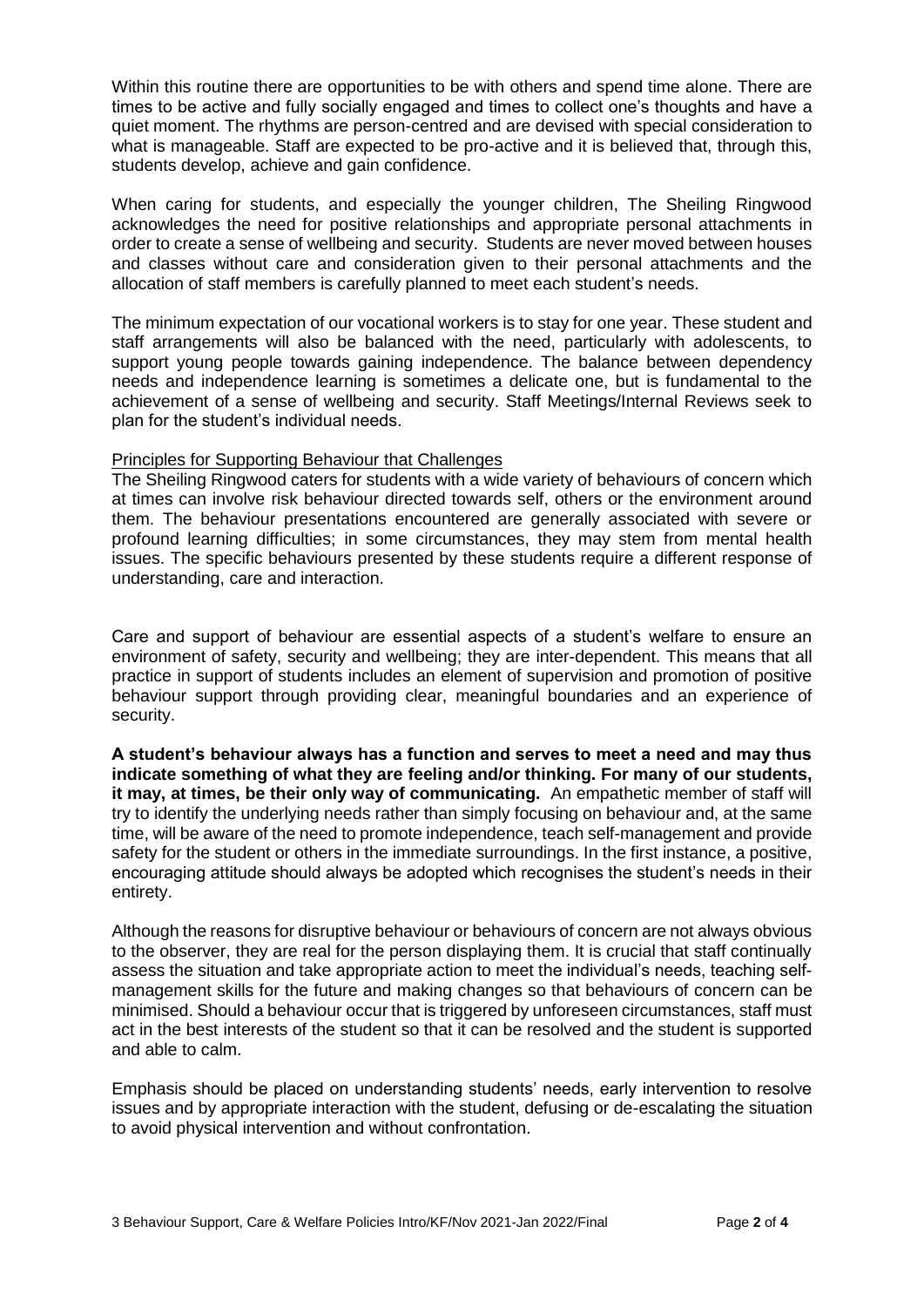Within this routine there are opportunities to be with others and spend time alone. There are times to be active and fully socially engaged and times to collect one's thoughts and have a quiet moment. The rhythms are person-centred and are devised with special consideration to what is manageable. Staff are expected to be pro-active and it is believed that, through this, students develop, achieve and gain confidence.

When caring for students, and especially the younger children, The Sheiling Ringwood acknowledges the need for positive relationships and appropriate personal attachments in order to create a sense of wellbeing and security. Students are never moved between houses and classes without care and consideration given to their personal attachments and the allocation of staff members is carefully planned to meet each student's needs.

The minimum expectation of our vocational workers is to stay for one year. These student and staff arrangements will also be balanced with the need, particularly with adolescents, to support young people towards gaining independence. The balance between dependency needs and independence learning is sometimes a delicate one, but is fundamental to the achievement of a sense of wellbeing and security. Staff Meetings/Internal Reviews seek to plan for the student's individual needs.

#### Principles for Supporting Behaviour that Challenges

The Sheiling Ringwood caters for students with a wide variety of behaviours of concern which at times can involve risk behaviour directed towards self, others or the environment around them. The behaviour presentations encountered are generally associated with severe or profound learning difficulties; in some circumstances, they may stem from mental health issues. The specific behaviours presented by these students require a different response of understanding, care and interaction.

Care and support of behaviour are essential aspects of a student's welfare to ensure an environment of safety, security and wellbeing; they are inter-dependent. This means that all practice in support of students includes an element of supervision and promotion of positive behaviour support through providing clear, meaningful boundaries and an experience of security.

**A student's behaviour always has a function and serves to meet a need and may thus indicate something of what they are feeling and/or thinking. For many of our students, it may, at times, be their only way of communicating.** An empathetic member of staff will try to identify the underlying needs rather than simply focusing on behaviour and, at the same time, will be aware of the need to promote independence, teach self-management and provide safety for the student or others in the immediate surroundings. In the first instance, a positive, encouraging attitude should always be adopted which recognises the student's needs in their entirety.

Although the reasons for disruptive behaviour or behaviours of concern are not always obvious to the observer, they are real for the person displaying them. It is crucial that staff continually assess the situation and take appropriate action to meet the individual's needs, teaching selfmanagement skills for the future and making changes so that behaviours of concern can be minimised. Should a behaviour occur that is triggered by unforeseen circumstances, staff must act in the best interests of the student so that it can be resolved and the student is supported and able to calm.

Emphasis should be placed on understanding students' needs, early intervention to resolve issues and by appropriate interaction with the student, defusing or de-escalating the situation to avoid physical intervention and without confrontation.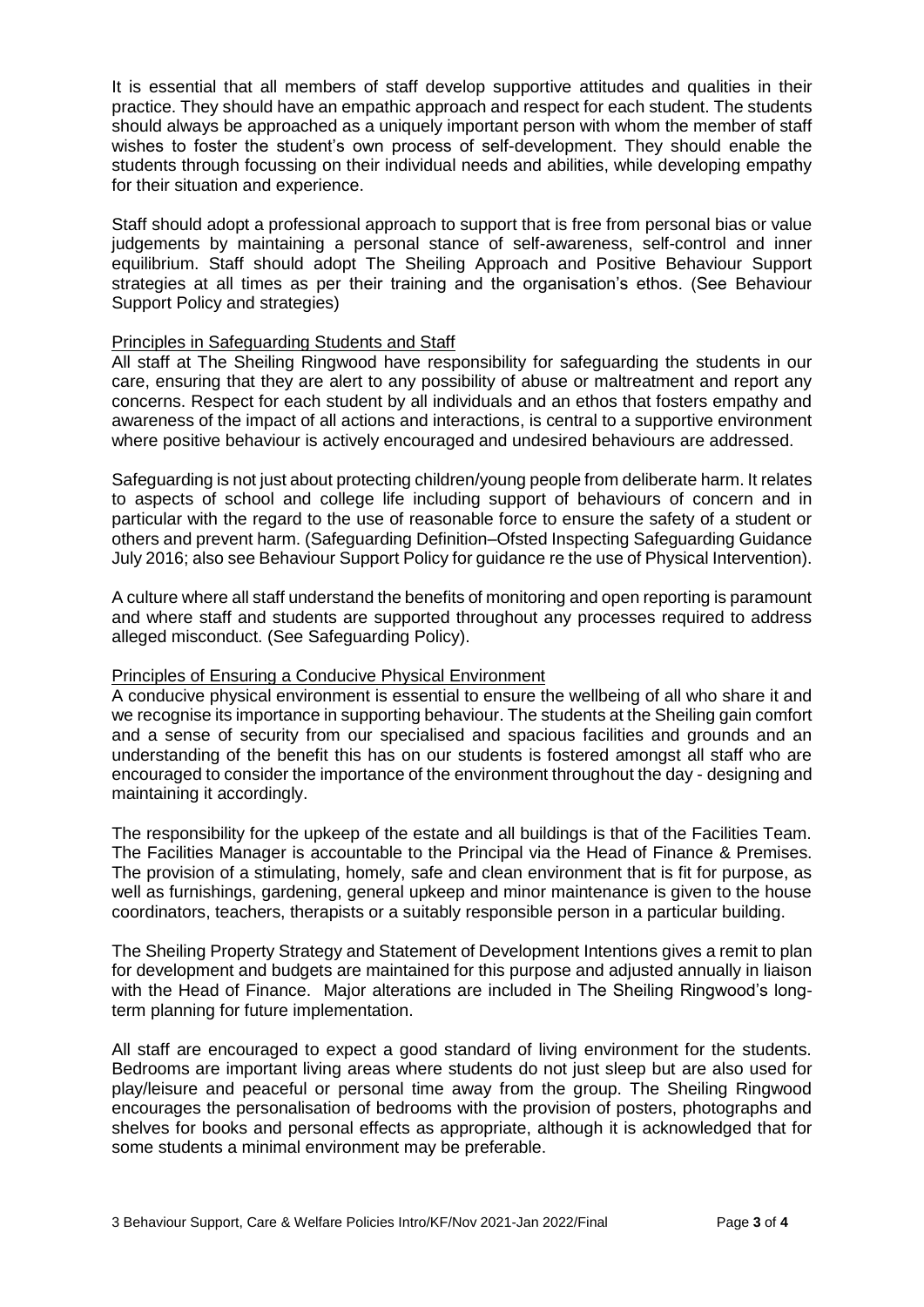It is essential that all members of staff develop supportive attitudes and qualities in their practice. They should have an empathic approach and respect for each student. The students should always be approached as a uniquely important person with whom the member of staff wishes to foster the student's own process of self-development. They should enable the students through focussing on their individual needs and abilities, while developing empathy for their situation and experience.

Staff should adopt a professional approach to support that is free from personal bias or value judgements by maintaining a personal stance of self-awareness, self-control and inner equilibrium. Staff should adopt The Sheiling Approach and Positive Behaviour Support strategies at all times as per their training and the organisation's ethos. (See Behaviour Support Policy and strategies)

## Principles in Safeguarding Students and Staff

All staff at The Sheiling Ringwood have responsibility for safeguarding the students in our care, ensuring that they are alert to any possibility of abuse or maltreatment and report any concerns. Respect for each student by all individuals and an ethos that fosters empathy and awareness of the impact of all actions and interactions, is central to a supportive environment where positive behaviour is actively encouraged and undesired behaviours are addressed.

Safeguarding is not just about protecting children/young people from deliberate harm. It relates to aspects of school and college life including support of behaviours of concern and in particular with the regard to the use of reasonable force to ensure the safety of a student or others and prevent harm. (Safeguarding Definition–Ofsted Inspecting Safeguarding Guidance July 2016; also see Behaviour Support Policy for guidance re the use of Physical Intervention).

A culture where all staff understand the benefits of monitoring and open reporting is paramount and where staff and students are supported throughout any processes required to address alleged misconduct. (See Safeguarding Policy).

## Principles of Ensuring a Conducive Physical Environment

A conducive physical environment is essential to ensure the wellbeing of all who share it and we recognise its importance in supporting behaviour. The students at the Sheiling gain comfort and a sense of security from our specialised and spacious facilities and grounds and an understanding of the benefit this has on our students is fostered amongst all staff who are encouraged to consider the importance of the environment throughout the day - designing and maintaining it accordingly.

The responsibility for the upkeep of the estate and all buildings is that of the Facilities Team. The Facilities Manager is accountable to the Principal via the Head of Finance & Premises. The provision of a stimulating, homely, safe and clean environment that is fit for purpose, as well as furnishings, gardening, general upkeep and minor maintenance is given to the house coordinators, teachers, therapists or a suitably responsible person in a particular building.

The Sheiling Property Strategy and Statement of Development Intentions gives a remit to plan for development and budgets are maintained for this purpose and adjusted annually in liaison with the Head of Finance. Major alterations are included in The Sheiling Ringwood's longterm planning for future implementation.

All staff are encouraged to expect a good standard of living environment for the students. Bedrooms are important living areas where students do not just sleep but are also used for play/leisure and peaceful or personal time away from the group. The Sheiling Ringwood encourages the personalisation of bedrooms with the provision of posters, photographs and shelves for books and personal effects as appropriate, although it is acknowledged that for some students a minimal environment may be preferable.